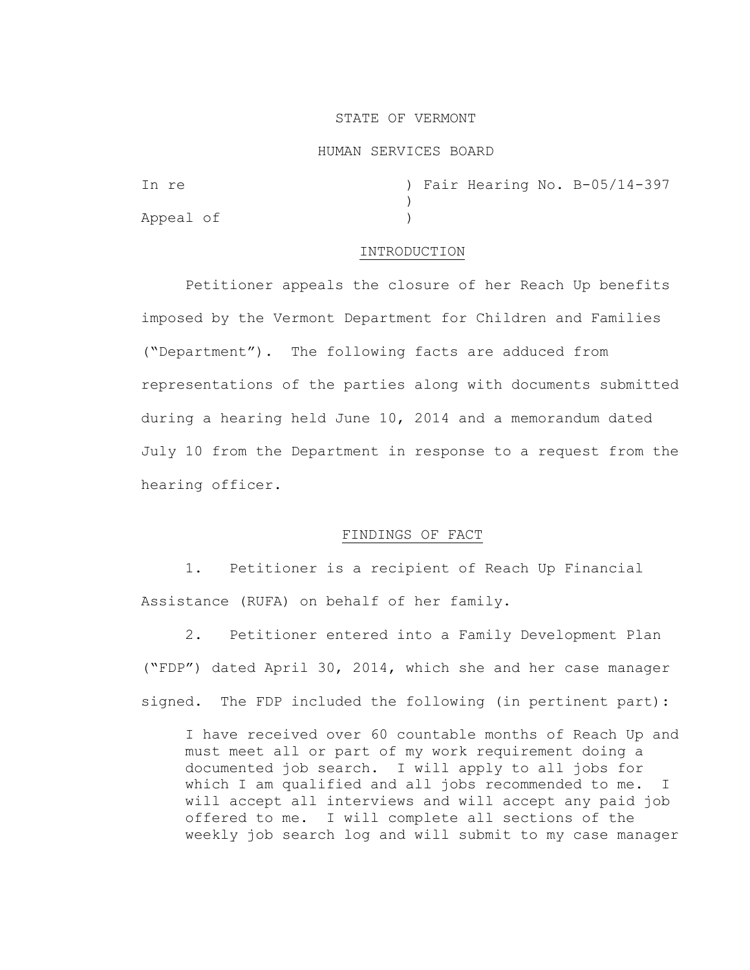# STATE OF VERMONT

### HUMAN SERVICES BOARD

In re ) Fair Hearing No. B-05/14-397 ) Appeal of )

#### INTRODUCTION

Petitioner appeals the closure of her Reach Up benefits imposed by the Vermont Department for Children and Families ("Department"). The following facts are adduced from representations of the parties along with documents submitted during a hearing held June 10, 2014 and a memorandum dated July 10 from the Department in response to a request from the hearing officer.

# FINDINGS OF FACT

1. Petitioner is a recipient of Reach Up Financial Assistance (RUFA) on behalf of her family.

2. Petitioner entered into a Family Development Plan ("FDP") dated April 30, 2014, which she and her case manager signed. The FDP included the following (in pertinent part):

I have received over 60 countable months of Reach Up and must meet all or part of my work requirement doing a documented job search. I will apply to all jobs for which I am qualified and all jobs recommended to me. I will accept all interviews and will accept any paid job offered to me. I will complete all sections of the weekly job search log and will submit to my case manager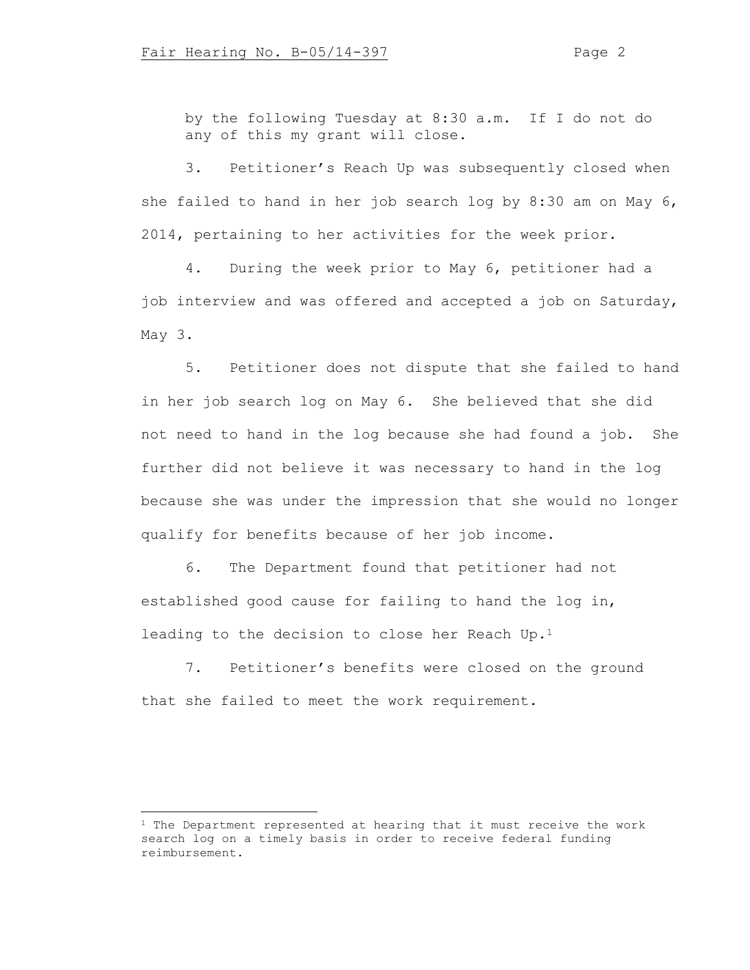by the following Tuesday at 8:30 a.m. If I do not do any of this my grant will close.

3. Petitioner's Reach Up was subsequently closed when she failed to hand in her job search log by 8:30 am on May 6, 2014, pertaining to her activities for the week prior.

4. During the week prior to May 6, petitioner had a job interview and was offered and accepted a job on Saturday, May 3.

5. Petitioner does not dispute that she failed to hand in her job search log on May 6. She believed that she did not need to hand in the log because she had found a job. She further did not believe it was necessary to hand in the log because she was under the impression that she would no longer qualify for benefits because of her job income.

6. The Department found that petitioner had not established good cause for failing to hand the log in, leading to the decision to close her Reach Up.<sup>1</sup>

7. Petitioner's benefits were closed on the ground that she failed to meet the work requirement.

 $1$  The Department represented at hearing that it must receive the work search log on a timely basis in order to receive federal funding reimbursement.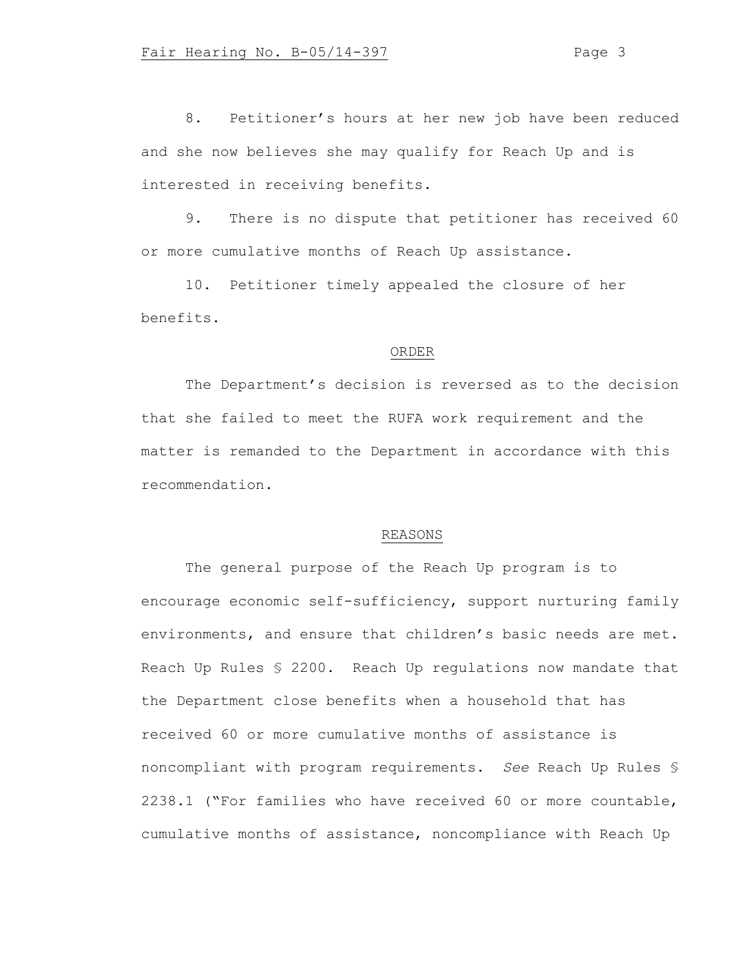8. Petitioner's hours at her new job have been reduced and she now believes she may qualify for Reach Up and is interested in receiving benefits.

9. There is no dispute that petitioner has received 60 or more cumulative months of Reach Up assistance.

10. Petitioner timely appealed the closure of her benefits.

### ORDER

The Department's decision is reversed as to the decision that she failed to meet the RUFA work requirement and the matter is remanded to the Department in accordance with this recommendation.

# REASONS

The general purpose of the Reach Up program is to encourage economic self-sufficiency, support nurturing family environments, and ensure that children's basic needs are met. Reach Up Rules § 2200. Reach Up regulations now mandate that the Department close benefits when a household that has received 60 or more cumulative months of assistance is noncompliant with program requirements. *See* Reach Up Rules § 2238.1 ("For families who have received 60 or more countable, cumulative months of assistance, noncompliance with Reach Up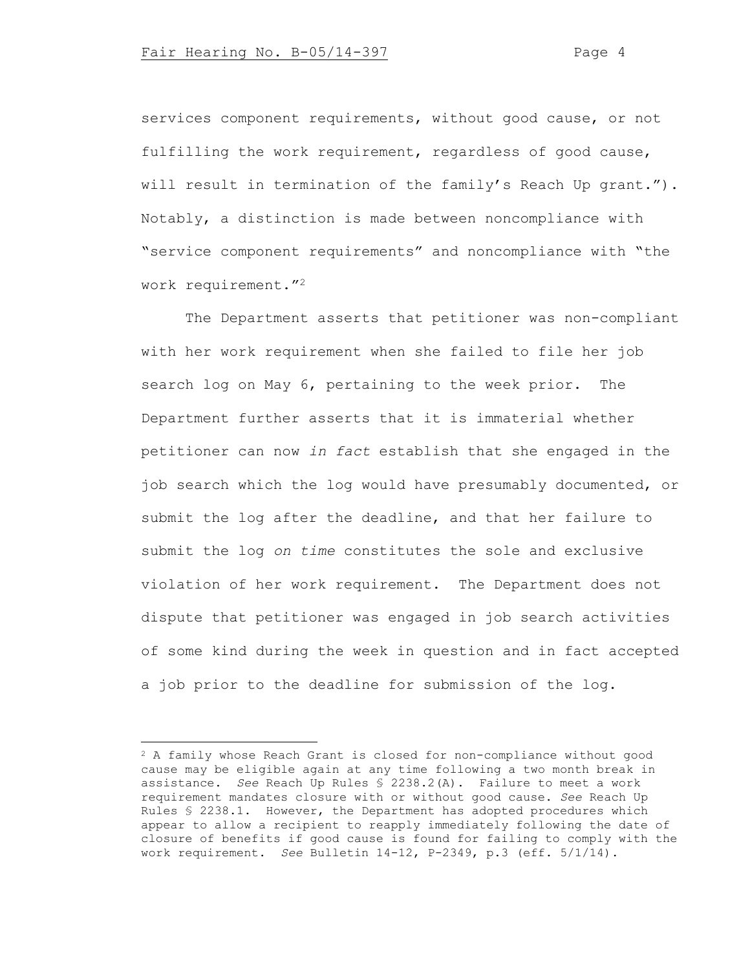services component requirements, without good cause, or not fulfilling the work requirement, regardless of good cause, will result in termination of the family's Reach Up grant."). Notably, a distinction is made between noncompliance with "service component requirements" and noncompliance with "the work requirement."<sup>2</sup>

The Department asserts that petitioner was non-compliant with her work requirement when she failed to file her job search log on May 6, pertaining to the week prior. The Department further asserts that it is immaterial whether petitioner can now *in fact* establish that she engaged in the job search which the log would have presumably documented, or submit the log after the deadline, and that her failure to submit the log *on time* constitutes the sole and exclusive violation of her work requirement. The Department does not dispute that petitioner was engaged in job search activities of some kind during the week in question and in fact accepted a job prior to the deadline for submission of the log.

<sup>2</sup> A family whose Reach Grant is closed for non-compliance without good cause may be eligible again at any time following a two month break in assistance. *See* Reach Up Rules § 2238.2(A). Failure to meet a work requirement mandates closure with or without good cause. *See* Reach Up Rules § 2238.1. However, the Department has adopted procedures which appear to allow a recipient to reapply immediately following the date of closure of benefits if good cause is found for failing to comply with the work requirement. *See* Bulletin 14-12, P-2349, p.3 (eff. 5/1/14).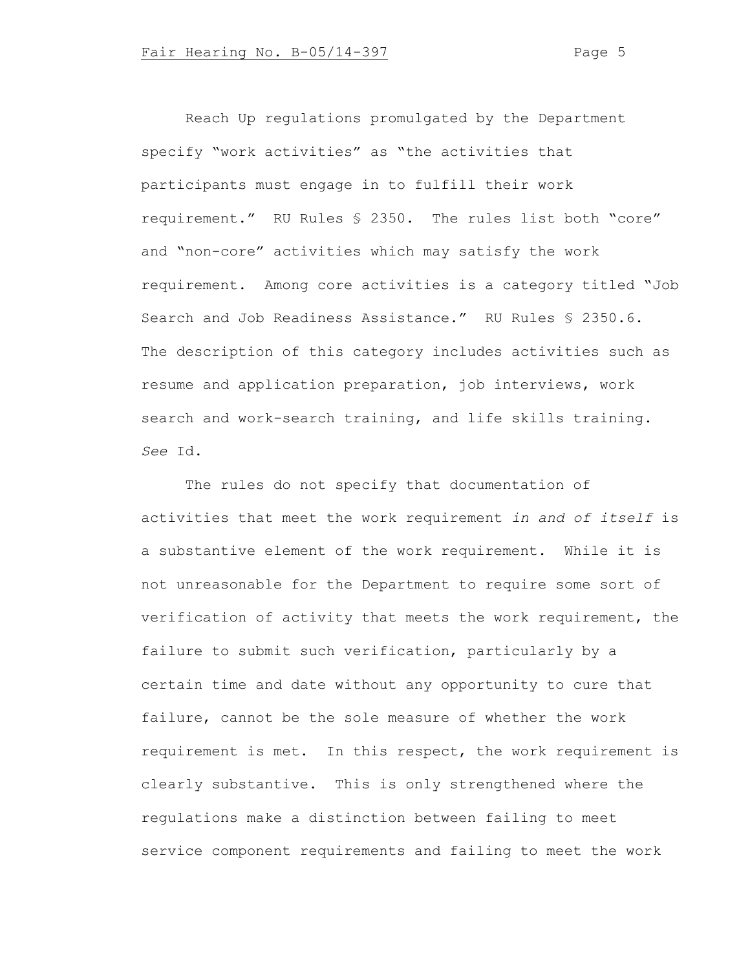Reach Up regulations promulgated by the Department specify "work activities" as "the activities that participants must engage in to fulfill their work requirement." RU Rules § 2350. The rules list both "core" and "non-core" activities which may satisfy the work requirement. Among core activities is a category titled "Job Search and Job Readiness Assistance." RU Rules § 2350.6. The description of this category includes activities such as resume and application preparation, job interviews, work search and work-search training, and life skills training. *See* Id.

The rules do not specify that documentation of activities that meet the work requirement *in and of itself* is a substantive element of the work requirement. While it is not unreasonable for the Department to require some sort of verification of activity that meets the work requirement, the failure to submit such verification, particularly by a certain time and date without any opportunity to cure that failure, cannot be the sole measure of whether the work requirement is met. In this respect, the work requirement is clearly substantive. This is only strengthened where the regulations make a distinction between failing to meet service component requirements and failing to meet the work